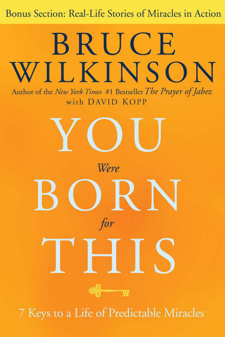Bonus Section: Real-Life Stories of Miracles in Action

# BRUCE WILKINSON Author of the New York Times #1 Bestseller The Prayer of Jabez with DAVID KOPP Were D R for TH I S

7 Keys to a Life of Predictable Miracles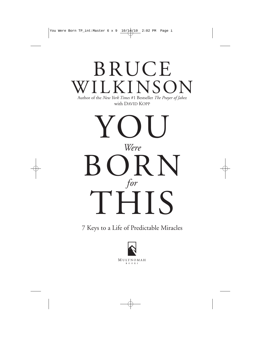

## 7 Keys to a Life of Predictable Miracles

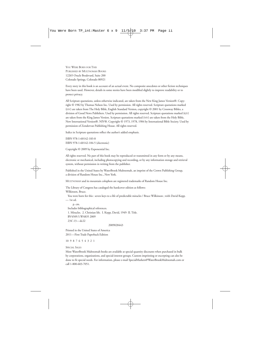YOU WERE BORN FOR THIS PUBLISHED BY MULTNOMAH BOOKS 12265 Oracle Boulevard, Suite 200 Colorado Springs, Colorado 80921

Every story in this book is an account of an actual event. No composite anecdotes or other fiction techniques have been used. However, details in some stories have been modified slightly to improve readability or to protect privacy.

All Scripture quotations, unless otherwise indicated, are taken from the New King James Version®. Copyright © 1982 by Thomas Nelson Inc. Used by permission. All rights reserved. Scripture quotations marked (ESV) are taken from The Holy Bible, English Standard Version, copyright © 2001 by Crossway Bibles, a division of Good News Publishers. Used by permission. All rights reserved. Scripture quotations marked (KJV) are taken from the King James Version. Scripture quotations marked (NIV) are taken from the Holy Bible, New International Version®. NIV®. Copyright © 1973, 1978, 1984 by International Bible Society. Used by permission of Zondervan Publishing House. All rights reserved.

Italics in Scripture quotations reflect the author's added emphasis.

ISBN 978-1-60142-183-8 ISBN 978-1-60142-184-5 (electronic)

Copyright © 2009 by Exponential Inc.

All rights reserved. No part of this book may be reproduced or transmitted in any form or by any means, electronic or mechanical, including photocopying and recording, or by any information storage and retrieval system, without permission in writing from the publisher.

Published in the United States by WaterBrook Multnomah, an imprint of the Crown Publishing Group, a division of Random House Inc., New York.

MULTNOMAH and its mountain colophon are registered trademarks of Random House Inc.

The Library of Congress has cataloged the hardcover edition as follows: Wilkinson, Bruce.

You were born for this : seven keys to a life of predictable miracles / Bruce Wilkinson ; with David Kopp. — 1st ed.

p. cm. Includes bibliographical references. 1. Miracles. 2. Christian life. I. Kopp, David, 1949- II. Title. BV4509.5.W4835 2009 234'.13—dc22

#### 2009028443

Printed in the United States of America 2011—First Trade Paperback Edition

10 9 8 7 6 5 4 3 2 1

SPECIAL SALES

Most WaterBrook Multnomah books are available at special quantity discounts when purchased in bulk by corporations, organizations, and special-interest groups. Custom imprinting or excerpting can also be done to fit special needs. For information, please e-mail SpecialMarkets@WaterBrookMultnomah.com or call 1-800-603-7051.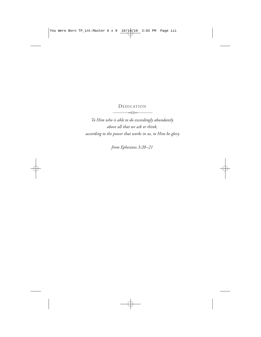#### DEDICATION

 $\longrightarrow$   $\sim$ 

*To Him who is able to do exceedingly abundantly above all that we ask or think, according to the power that works in us, to Him be glory.*

*from Ephesians 3:20–21*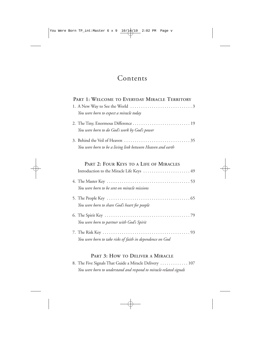## Contents

### **PART 1: WELCOME TO EVERYDAY MIRACLE TERRITORY**

| 1. A New Way to See the World $\ldots \ldots \ldots \ldots \ldots \ldots \ldots \ldots \ldots$<br>You were born to expect a miracle today |
|-------------------------------------------------------------------------------------------------------------------------------------------|
| You were born to do God's work by God's power                                                                                             |
| You were born to be a living link between Heaven and earth                                                                                |
| PART 2: FOUR KEYS TO A LIFE OF MIRACLES                                                                                                   |
| Introduction to the Miracle Life Keys  49                                                                                                 |
|                                                                                                                                           |
| You were born to be sent on miracle missions                                                                                              |
| You were born to share God's heart for people                                                                                             |
| You were born to partner with God's Spirit                                                                                                |
| You were born to take risks of faith in dependence on God                                                                                 |

#### **PART 3: HOW TO DELIVER A MIRACLE**

| 8. The Five Signals That Guide a Miracle Delivery  107             |  |
|--------------------------------------------------------------------|--|
| You were born to understand and respond to miracle-related signals |  |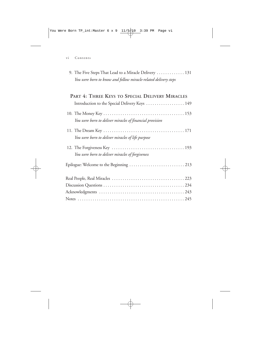| 9. The Five Steps That Lead to a Miracle Delivery  131          |  |
|-----------------------------------------------------------------|--|
| You were born to know and follow miracle-related delivery steps |  |

| PART 4: THREE KEYS TO SPECIAL DELIVERY MIRACLES          |
|----------------------------------------------------------|
| Introduction to the Special Delivery Keys  149           |
| You were born to deliver miracles of financial provision |
| You were born to deliver miracles of life purpose        |
| You were born to deliver miracles of forgiveness         |
|                                                          |
|                                                          |
|                                                          |
|                                                          |
|                                                          |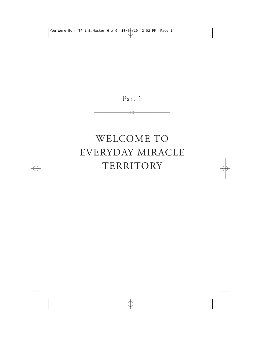Part 1

 $\rightarrow$ 

# WELCOME TO EVERYDAY MIRACLE TERRITORY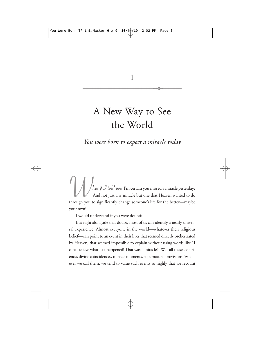ትነት

## A New Way to See the World

*You were born to expect a miracle today*

 $\int$  hat if  $\mathcal I$  told you I'm certain you missed a miracle yesterday? And not just any miracle but one that Heaven wanted to do through you to significantly change someone's life for the better—maybe your own?

I would understand if you were doubtful.

But right alongside that doubt, most of us can identify a nearly universal experience. Almost everyone in the world—whatever their religious belief—can point to an event in their lives that seemed directly orchestrated by Heaven, that seemed impossible to explain without using words like "I can't believe what just happened! That was a miracle!" We call these experiences divine coincidences, miracle moments, supernatural provisions. Whatever we call them, we tend to value such events so highly that we recount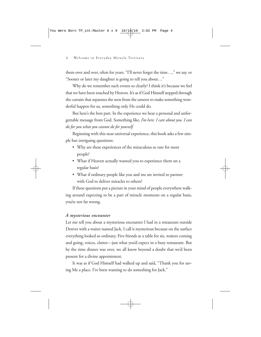them over and over, often for years. "I'll never forget the time…," we say, or "Sooner or later my daughter is going to tell you about…"

Why do we remember such events so clearly? I think it's because we feel that we have been touched by Heaven. It's as if God Himself stepped through the curtain that separates the seen from the unseen to make something wonderful happen for us, something only He could do.

But here's the best part. In the experience we hear a personal and unforgettable message from God. Something like, *I'm here. I care about you. I can do for you what you cannot do for yourself.*

Beginning with this near-universal experience, this book asks a few simple but intriguing questions:

- Why are these experiences of the miraculous so rare for most people?
- What if Heaven actually wanted you to experience them on a regular basis?
- What if ordinary people like you and me are invited to partner with God to deliver miracles to others?

If these questions put a picture in your mind of people everywhere walking around expecting to be a part of miracle moments on a regular basis, you're not far wrong.

#### *A mysterious encounter*

Let me tell you about a mysterious encounter I had in a restaurant outside Denver with a waiter named Jack. I call it mysterious because on the surface everything looked so ordinary. Five friends at a table for six, waiters coming and going, voices, clatter—just what you'd expect in a busy restaurant. But by the time dinner was over, we all knew beyond a doubt that we'd been present for a divine appointment.

It was as if God Himself had walked up and said, "Thank you for saving Me a place. I've been wanting to do something for Jack."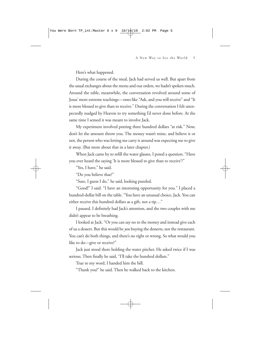Here's what happened.

During the course of the meal, Jack had served us well. But apart from the usual exchanges about the menu and our orders, we hadn't spoken much. Around the table, meanwhile, the conversation revolved around some of Jesus' more extreme teachings—ones like "Ask, and you will receive" and "It is more blessed to give than to receive." During the conversation I felt unexpectedly nudged by Heaven to try something I'd never done before. At the same time I sensed it was meant to involve Jack.

My experiment involved putting three hundred dollars "at risk." Now, don't let the amount throw you. The money wasn't mine, and believe it or not, the person who was letting me carry it around was expecting me to give it away. (But more about that in a later chapter.)

When Jack came by to refill the water glasses, I posed a question. "Have you ever heard the saying 'It is more blessed to give than to receive'?"

"Yes, I have," he said.

"Do you believe that?"

"Sure, I guess I do," he said, looking puzzled.

"Good!" I said. "I have an interesting opportunity for you." I placed a hundred-dollar bill on the table. "You have an unusual choice, Jack. You can either receive this hundred dollars as a gift, not a tip…"

I paused. I definitely had Jack's attention, and the two couples with me didn't appear to be breathing.

I looked at Jack. "Or you can say no to the money and instead give each of us a dessert. But this would be *you* buying the desserts, not the restaurant. You can't do both things, and there's no right or wrong. So what would you like to do—give or receive?"

Jack just stood there holding the water pitcher. He asked twice if I was serious. Then finally he said, "I'll take the hundred dollars."

True to my word, I handed him the bill.

"Thank you!" he said. Then he walked back to the kitchen.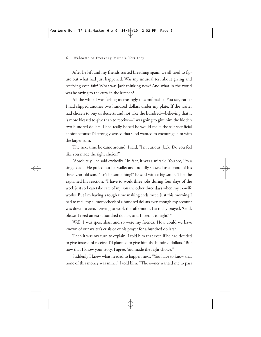After he left and my friends started breathing again, we all tried to figure out what had just happened. Was my unusual test about giving and receiving even fair? What was Jack thinking now? And what in the world was he saying to the crew in the kitchen?

All the while I was feeling increasingly uncomfortable. You see, earlier I had slipped another two hundred dollars under my plate. If the waiter had chosen to buy us desserts and not take the hundred—believing that it is more blessed to give than to receive—I was going to give him the hidden two hundred dollars. I had really hoped he would make the self-sacrificial choice because I'd strongly sensed that God wanted to encourage him with the larger sum.

The next time he came around, I said, "I'm curious, Jack. Do you feel like you made the right choice?"

"Absolutely!" he said excitedly. "In fact, it was a miracle. You see, I'm a single dad." He pulled out his wallet and proudly showed us a photo of his three-year-old son. "Isn't he something!" he said with a big smile. Then he explained his reaction. "I have to work three jobs during four days of the week just so I can take care of my son the other three days when my ex-wife works. But I'm having a tough time making ends meet. Just this morning I had to mail my alimony check of a hundred dollars even though my account was down to zero. Driving to work this afternoon, I actually prayed, 'God, please! I need an extra hundred dollars, and I need it tonight!' "

Well, I was speechless, and so were my friends. How could we have known of our waiter's crisis or of his prayer for a hundred dollars?

Then it was my turn to explain. I told him that even if he had decided to give instead of receive, I'd planned to give him the hundred dollars. "But now that I know your story, I agree. You made the right choice."

Suddenly I knew what needed to happen next. "You have to know that none of this money was mine," I told him. "The owner wanted me to pass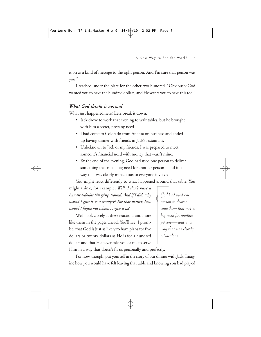it on as a kind of message to the right person. And I'm sure that person was you."

I reached under the plate for the other two hundred. "Obviously God wanted you to have the hundred dollars, and He wants you to have this too."

#### *What God thinks is normal*

What just happened here? Let's break it down:

- Jack drove to work that evening to wait tables, but he brought with him a secret, pressing need.
- I had come to Colorado from Atlanta on business and ended up having dinner with friends in Jack's restaurant.
- Unbeknown to Jack or my friends, I was prepared to meet someone's financial need with money that wasn't mine.
- By the end of the evening, God had used one person to deliver something that met a big need for another person—and in a way that was clearly miraculous to everyone involved.

You might react differently to what happened around that table. You

might think, for example, *Well, I don't have a hundred-dollar bill lying around. And if I did, why would I give it to a stranger? For that matter, how would I figure out whom to give it to?*

We'll look closely at these reactions and more like them in the pages ahead. You'll see, I promise, that God is just as likely to have plans for five dollars or twenty dollars as He is for a hundred dollars and that He never asks you or me to serve

God had used one person to deliver something that met a big need for another person—and in a way that was clearly miraculous.

Him in a way that doesn't fit us personally and perfectly.

For now, though, put yourself in the story of our dinner with Jack. Imagine how you would have felt leaving that table and knowing you had played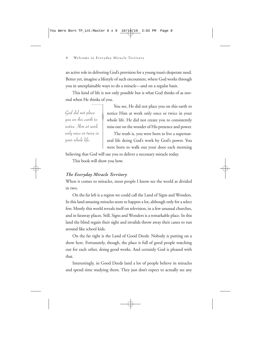an active role in delivering God's provision for a young man's desperate need. Better yet, imagine a lifestyle of such encounters, where God works through you in unexplainable ways to do a miracle—and on a regular basis.

This kind of life is not only possible but is what God thinks of as normal when He thinks of you.

God did not place you on this earth to notice Him at work only once or twice in your whole life.

You see, He did not place you on this earth to notice Him at work only once or twice in your whole life. He did not create you to consistently miss out on the wonder of His presence and power. The truth is, you were born to live a supernatural life doing God's work by God's power. You were born to walk out your door each morning

believing that God will use you to deliver a necessary miracle today.

This book will show you how.

#### *The Everyday Miracle Territory*

When it comes to miracles, most people I know see the world as divided in two.

On the far left is a region we could call the Land of Signs and Wonders. In this land amazing miracles seem to happen a lot, although only for a select few. Mostly this world reveals itself on television, in a few unusual churches, and in faraway places. Still, Signs and Wonders is a remarkable place. In this land the blind regain their sight and invalids throw away their canes to run around like school kids.

On the far right is the Land of Good Deeds. Nobody is putting on a show here. Fortunately, though, the place is full of good people watching out for each other, doing good works. And certainly God is pleased with that.

Interestingly, in Good Deeds land a lot of people believe in miracles and spend time studying them. They just don't expect to actually see any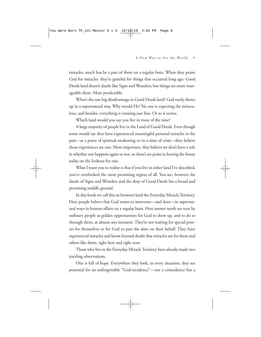miracles, much less be a part of them on a regular basis. When they praise God for miracles, they're grateful for things that occurred long ago. Good Deeds land doesn't dazzle like Signs and Wonders, but things are more manageable there. More predictable.

What's the one big disadvantage in Good Deeds land? God rarely shows up in a supernatural way. Why would He? No one is expecting the miraculous, and besides, everything is running just fine. Or so it seems.

Which land would you say you live in most of the time?

A large majority of people live in the Land of Good Deeds. Even though some would say they have experienced meaningful personal miracles in the past—at a point of spiritual awakening or in a time of crisis—they believe those experiences are rare. More important, they believe we don't have a role in whether one happens again or not, so there's no point in leaving the house today on the lookout for one.

What I want you to realize is that if you live in either land I've described, you've overlooked the most promising region of all. You see, between the dazzle of Signs and Wonders and the duty of Good Deeds lies a broad and promising middle ground.

In this book we call this in-between land the Everyday Miracle Territory. Here people believe that God wants to intervene—and does—in supernatural ways in human affairs on a regular basis. Here unmet needs are seen by ordinary people as golden opportunities for God to show up, and to do so through them, at almost any moment. They're not waiting for special powers for themselves or for God to part the skies on their behalf. They have experienced miracles and know beyond doubt that miracles are for them and others like them, right here and right now.

Those who live in the Everyday Miracle Territory have already made two startling observations.

One is full of hope. Everywhere they look, in every situation, they see potential for an unforgettable "God-incidence"—not a coincidence but a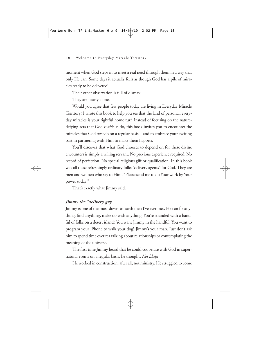moment when God steps in to meet a real need through them in a way that only He can. Some days it actually feels as though God has a pile of miracles ready to be delivered!

Their other observation is full of dismay.

They are nearly alone.

Would you agree that few people today are living in Everyday Miracle Territory? I wrote this book to help you see that the land of personal, everyday miracles is your rightful home turf. Instead of focusing on the naturedefying acts that God *is able to* do, this book invites you to encounter the miracles that God *does* do on a regular basis—and to embrace your exciting part in partnering with Him to make them happen.

You'll discover that what God chooses to depend on for these divine encounters is simply a willing servant. No previous experience required. No record of perfection. No special religious gift or qualification. In this book we call these refreshingly ordinary folks "delivery agents" for God. They are men and women who say to Him, "Please send me to do Your work by Your power today!"

That's exactly what Jimmy said.

#### *Jimmy the "delivery guy"*

Jimmy is one of the most down-to-earth men I've ever met. He can fix anything, find anything, make do with anything. You're stranded with a handful of folks on a desert island? You want Jimmy in the handful. You want to program your iPhone to walk your dog? Jimmy's your man. Just don't ask him to spend time over tea talking about relationships or contemplating the meaning of the universe.

The first time Jimmy heard that he could cooperate with God in supernatural events on a regular basis, he thought, *Not likely.*

He worked in construction, after all, not ministry. He struggled to come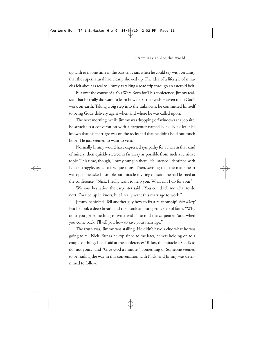up with even one time in the past ten years when he could say with certainty that the supernatural had clearly showed up. The idea of a lifestyle of miracles felt about as real to Jimmy as taking a road trip through an asteroid belt.

But over the course of a You Were Born for This conference, Jimmy realized that he really did want to learn how to partner with Heaven to do God's work on earth. Taking a big step into the unknown, he committed himself to being God's delivery agent when and where he was called upon.

The next morning, while Jimmy was dropping off windows at a job site, he struck up a conversation with a carpenter named Nick. Nick let it be known that his marriage was on the rocks and that he didn't hold out much hope. He just seemed to want to vent.

Normally Jimmy would have expressed sympathy for a man in that kind of misery, then quickly steered as far away as possible from such a sensitive topic. This time, though, Jimmy hung in there. He listened, identified with Nick's struggle, asked a few questions. Then, sensing that the man's heart was open, he asked a simple but miracle-inviting question he had learned at the conference: "Nick, I really want to help you. What can I do for you?"

Without hesitation the carpenter said, "You could tell me what to do next. I'm tied up in knots, but I really want this marriage to work."

Jimmy panicked. Tell another guy how to fix a relationship? *Not likely!* But he took a deep breath and then took an outrageous step of faith. "Why don't you get something to write with," he told the carpenter, "and when you come back, I'll tell you how to save your marriage."

The truth was, Jimmy was stalling. He didn't have a clue what he was going to tell Nick. But as he explained to me later, he was holding on to a couple of things I had said at the conference: "Relax, the miracle is God's to do, not yours" and "Give God a minute." Something or Someone seemed to be leading the way in this conversation with Nick, and Jimmy was determined to follow.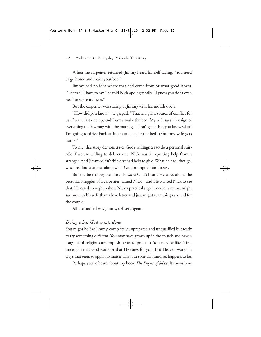When the carpenter returned, Jimmy heard himself saying, "You need to go home and make your bed."

Jimmy had no idea where that had come from or what good it was. "That's all I have to say," he told Nick apologetically. "I guess you don't even need to write it down."

But the carpenter was staring at Jimmy with his mouth open.

"How did you know?" he gasped. "That is a giant source of conflict for us! I'm the last one up, and I *never* make the bed. My wife says it's a sign of everything that's wrong with the marriage. I don't get it. But you know what? I'm going to drive back at lunch and make the bed before my wife gets home."

To me, this story demonstrates God's willingness to do a personal miracle if we are willing to deliver one. Nick wasn't expecting help from a stranger. And Jimmy didn't think he had help to give. What he had, though, was a readiness to pass along what God prompted him to say.

But the best thing the story shows is God's heart. He cares about the personal struggles of a carpenter named Nick—and He wanted Nick to see that. He cared enough to show Nick a practical step he could take that might say more to his wife than a love letter and just might turn things around for the couple.

All He needed was Jimmy, delivery agent.

#### *Doing what God wants done*

You might be like Jimmy, completely unprepared and unqualified but ready to try something different. You may have grown up in the church and have a long list of religious accomplishments to point to. You may be like Nick, uncertain that God exists or that He cares for you. But Heaven works in ways that seem to apply no matter what our spiritual mind-set happens to be.

Perhaps you've heard about my book *The Prayer of Jabez.* It shows how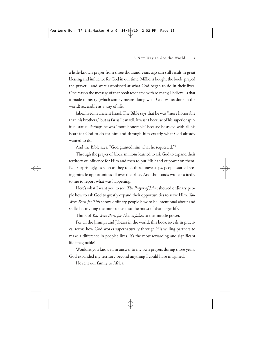a little-known prayer from three thousand years ago can still result in great blessing and influence for God in our time. Millions bought the book, prayed the prayer…and were astonished at what God began to do in their lives. One reason the message of that book resonated with so many, I believe, is that it made ministry (which simply means doing what God wants done in the world) accessible as a way of life.

Jabez lived in ancient Israel. The Bible says that he was "more honorable than his brothers," but as far as I can tell, it wasn't because of his superior spiritual status. Perhaps he was "more honorable" because he asked with all his heart for God to do for him and through him exactly what God already wanted to do.

And the Bible says, "God granted him what he requested."1

Through the prayer of Jabez, millions learned to ask God to expand their territory of influence for Him and then to put His hand of power on them. Not surprisingly, as soon as they took these brave steps, people started seeing miracle opportunities all over the place. And thousands wrote excitedly to me to report what was happening.

Here's what I want you to see: *The Prayer of Jabez* showed ordinary people how to ask God to greatly expand their opportunities to serve Him. *You Were Born for This* shows ordinary people how to be intentional about and skilled at inviting the miraculous into the midst of that larger life.

Think of *You Were Born for This* as *Jabez* to the miracle power.

For all the Jimmys and Jabezes in the world, this book reveals in practical terms how God works supernaturally through His willing partners to make a difference in people's lives. It's the most rewarding and significant life imaginable!

Wouldn't you know it, in answer to my own prayers during those years, God expanded my territory beyond anything I could have imagined.

He sent our family to Africa.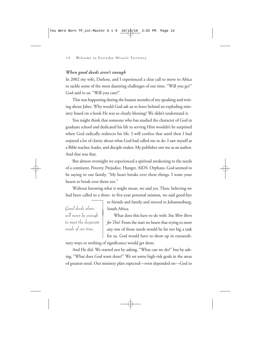#### *When good deeds aren't enough*

In 2002 my wife, Darlene, and I experienced a clear call to move to Africa to tackle some of the most daunting challenges of our time. "Will you go?" God said to us. "Will you care?"

This was happening during the busiest months of my speaking and writing about Jabez. Why would God ask us to leave behind an exploding ministry based on a book He was so clearly blessing? We didn't understand it.

You might think that someone who has studied the character of God in graduate school and dedicated his life to serving Him wouldn't be surprised when God radically redirects his life. I will confess that until then I had enjoyed a lot of clarity about what God had called me to do. I saw myself as a Bible teacher, leader, and disciple maker. My publisher saw me as an author. And that was that.

But almost overnight we experienced a spiritual awakening to the needs of a continent. Poverty. Prejudice. Hunger. AIDS. Orphans. God seemed to be saying to our family, "My heart breaks over these things. I want your hearts to break over them too."

Without knowing what it might mean, we said yes. Then, believing we had been called to a three- to five-year personal mission, we said good-bye

Good deeds alone will never be enough to meet the desperate needs of our time.

to friends and family and moved to Johannesburg, South Africa.

What does this have to do with *You Were Born for This*? From the start we knew that trying to meet any one of those needs would be far too big a task for us. God would have to show up in extraordi-

nary ways or nothing of significance would get done.

And He did. We started not by asking, "What can we do?" but by asking, "What does God want done?" We set some high-risk goals in the areas of greatest need. Our ministry plan expected—even depended on—God to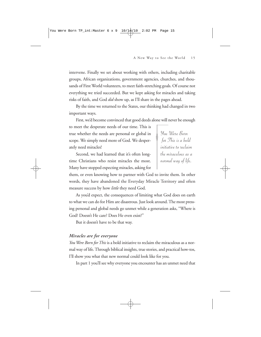intervene. Finally we set about working with others, including charitable groups, African organizations, government agencies, churches, and thousands of First World volunteers, to meet faith-stretching goals. Of course not everything we tried succeeded. But we kept asking for miracles and taking risks of faith, and God *did* show up, as I'll share in the pages ahead.

By the time we returned to the States, our thinking had changed in two important ways.

First, we'd become convinced that good deeds alone will never be enough

to meet the desperate needs of our time. This is true whether the needs are personal or global in scope. We simply need more of God. We desperately need miracles!

Second, we had learned that it's often longtime Christians who resist miracles the most. Many have stopped expecting miracles, asking for

You Were Born for This is a bold initiative to reclaim the miraculous as a normal way of life.

them, or even knowing how to partner with God to invite them. In other words, they have abandoned the Everyday Miracle Territory and often measure success by how *little* they need God.

As you'd expect, the consequences of limiting what God does on earth to what we can do for Him are disastrous. Just look around. The most pressing personal and global needs go unmet while a generation asks, "Where is God? Doesn't He care? Does He even exist?"

But it doesn't have to be that way.

#### *Miracles are for everyone*

*You Were Born for This* is a bold initiative to reclaim the miraculous as a normal way of life. Through biblical insights, true stories, and practical how-tos, I'll show you what that new normal could look like for you.

In part 1 you'll see why everyone you encounter has an unmet need that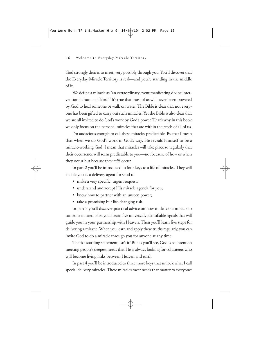God strongly desires to meet, very possibly through you. You'll discover that the Everyday Miracle Territory is real—and you're standing in the middle of it.

We define a miracle as "an extraordinary event manifesting divine intervention in human affairs."2 It's true that most of us will never be empowered by God to heal someone or walk on water. The Bible is clear that not everyone has been gifted to carry out such miracles. Yet the Bible is also clear that we are all invited to do God's work by God's power. That's why in this book we only focus on the personal miracles that are within the reach of all of us.

I'm audacious enough to call these miracles predictable. By that I mean that when we do God's work in God's way, He reveals Himself to be a miracle-working God. I mean that miracles will take place so regularly that their occurrence will seem predictable to you—not because of how or when they occur but because they *will* occur.

In part 2 you'll be introduced to four keys to a life of miracles. They will enable you as a delivery agent for God to

- make a very specific, urgent request;
- understand and accept His miracle agenda for you;
- know how to partner with an unseen power;
- take a promising but life-changing risk.

In part 3 you'll discover practical advice on how to deliver a miracle to someone in need. First you'll learn five universally identifiable signals that will guide you in your partnership with Heaven. Then you'll learn five steps for delivering a miracle. When you learn and apply these truths regularly, you can invite God to do a miracle through you for anyone at any time.

That's a startling statement, isn't it? But as you'll see, God is so intent on meeting people's deepest needs that He is always looking for volunteers who will become living links between Heaven and earth.

In part 4 you'll be introduced to three more keys that unlock what I call special delivery miracles. These miracles meet needs that matter to everyone: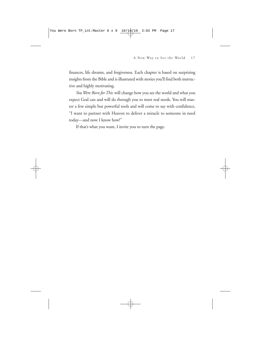finances, life dreams, and forgiveness. Each chapter is based on surprising insights from the Bible and is illustrated with stories you'll find both instructive and highly motivating.

*You Were Born for This* will change how you see the world and what you expect God can and will do through you to meet real needs. You will master a few simple but powerful tools and will come to say with confidence, "I want to partner with Heaven to deliver a miracle to someone in need today—and now I know how!"

If that's what you want, I invite you to turn the page.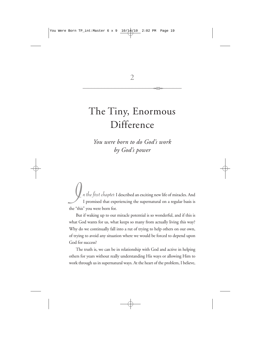# The Tiny, Enormous Difference

*You were born to do God's work by God's power*

In the first chapter I described an exciting new life of miracles. And I promised that experiencing the supernatural on a regular basis is the "this" you were born for.

But if waking up to our miracle potential is so wonderful, and if this is what God wants for us, what keeps so many from actually living this way? Why do we continually fall into a rut of trying to help others on our own, of trying to avoid any situation where we would be forced to depend upon God for success?

The truth is, we can be in relationship with God and active in helping others for years without really understanding His ways or allowing Him to work through us in supernatural ways. At the heart of the problem, I believe,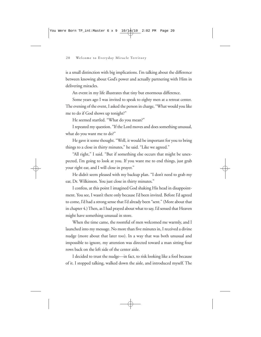is a small distinction with big implications. I'm talking about the difference between knowing about God's power and actually partnering with Him in delivering miracles.

An event in my life illustrates that tiny but enormous difference.

Some years ago I was invited to speak to eighty men at a retreat center. The evening of the event, I asked the person in charge, "What would you like me to do if God shows up tonight?"

He seemed startled. "What do you mean?"

I repeated my question. "If the Lord moves and does something unusual, what do you want me to do?"

He gave it some thought. "Well, it would be important for you to bring things to a close in thirty minutes," he said. "Like we agreed."

"All right," I said. "But if something else occurs that might be unexpected, I'm going to look at you. If you want me to end things, just grab your right ear, and I will close in prayer."

He didn't seem pleased with my backup plan. "I don't need to grab my ear, Dr. Wilkinson. You just close in thirty minutes."

I confess, at this point I imagined God shaking His head in disappointment. You see, I wasn't there only because I'd been invited. Before I'd agreed to come, I'd had a strong sense that I'd already been "sent." (More about that in chapter 4.) Then, as I had prayed about what to say, I'd sensed that Heaven might have something unusual in store.

When the time came, the roomful of men welcomed me warmly, and I launched into my message. No more than five minutes in, I received a divine nudge (more about that later too). In a way that was both unusual and impossible to ignore, my attention was directed toward a man sitting four rows back on the left side of the center aisle.

I decided to trust the nudge—in fact, to risk looking like a fool because of it. I stopped talking, walked down the aisle, and introduced myself. The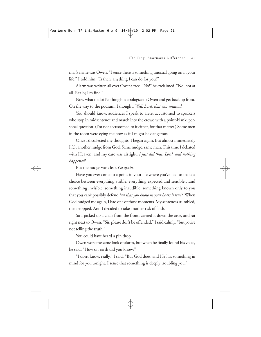man's name was Owen. "I sense there is something unusual going on in your life," I told him. "Is there anything I can do for you?"

Alarm was written all over Owen's face. "No!" he exclaimed. "No, not at all. Really, I'm fine."

Now what to do? Nothing but apologize to Owen and get back up front. On the way to the podium, I thought, *Well, Lord, that was unusual.*

You should know, audiences I speak to aren't accustomed to speakers who stop in midsentence and march into the crowd with a point-blank, personal question. (I'm not accustomed to it either, for that matter.) Some men in the room were eying me now as if I might be dangerous.

Once I'd collected my thoughts, I began again. But almost immediately I felt another nudge from God. Same nudge, same man. This time I debated with Heaven, and my case was airtight. *I just did that, Lord, and nothing happened!* 

But the nudge was clear. *Go again.* 

Have you ever come to a point in your life where you've had to make a choice between everything visible, everything expected and sensible…and something invisible, something inaudible, something known only to you that you can't possibly defend *but that you know in your heart is true*? When God nudged me again, I had one of those moments. My sentences stumbled, then stopped. And I decided to take another risk of faith.

So I picked up a chair from the front, carried it down the aisle, and sat right next to Owen. "Sir, please don't be offended," I said calmly, "but you're not telling the truth."

You could have heard a pin drop.

Owen wore the same look of alarm, but when he finally found his voice, he said, "How on earth did you know?"

"I don't know, really," I said. "But God does, and He has something in mind for you tonight. I sense that something is deeply troubling you."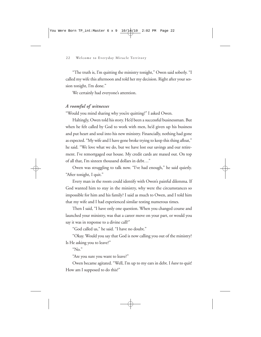"The truth is, I'm quitting the ministry tonight," Owen said soberly. "I called my wife this afternoon and told her my decision. Right after your session tonight, I'm done."

We certainly had everyone's attention.

#### *A roomful of witnesses*

"Would you mind sharing why you're quitting?" I asked Owen.

Haltingly, Owen told his story. He'd been a successful businessman. But when he felt called by God to work with men, he'd given up his business and put heart and soul into his new ministry. Financially, nothing had gone as expected. "My wife and I have gone broke trying to keep this thing afloat," he said. "We love what we do, but we have lost our savings and our retirement. I've remortgaged our house. My credit cards are maxed out. On top of all that, I'm sixteen thousand dollars in debt…"

Owen was struggling to talk now. "I've had enough," he said quietly. "After tonight, I quit."

Every man in the room could identify with Owen's painful dilemma. If God wanted him to stay in the ministry, why were the circumstances so impossible for him and his family? I said as much to Owen, and I told him that my wife and I had experienced similar testing numerous times.

Then I said, "I have only one question. When you changed course and launched your ministry, was that a career move on your part, or would you say it was in response to a divine call?"

"God called us," he said. "I have no doubt."

"Okay. Would you say that God is now calling you out of the ministry? Is He asking you to leave?"

" $No$ "

"Are you sure you want to leave?"

Owen became agitated. "Well, I'm up to my ears in debt. I *have* to quit! How am I supposed to do this?"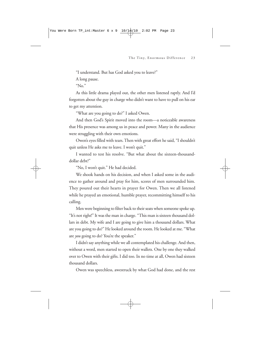"I understand. But has God asked you to leave?"

A long pause.

"No."

As this little drama played out, the other men listened raptly. And I'd forgotten about the guy in charge who didn't want to have to pull on his ear to get my attention.

"What are you going to do?" I asked Owen.

And then God's Spirit moved into the room—a noticeable awareness that His presence was among us in peace and power. Many in the audience were struggling with their own emotions.

Owen's eyes filled with tears. Then with great effort he said, "I shouldn't quit unless He asks me to leave. I won't quit."

I wanted to test his resolve. "But what about the sixteen-thousanddollar debt?"

"No, I won't quit." He had decided.

We shook hands on his decision, and when I asked some in the audience to gather around and pray for him, scores of men surrounded him. They poured out their hearts in prayer for Owen. Then we all listened while he prayed an emotional, humble prayer, recommitting himself to his calling.

Men were beginning to filter back to their seats when someone spoke up. "It's not right!" It was the man in charge. "This man is sixteen thousand dollars in debt. My wife and I are going to give him a thousand dollars. What are you going to do?" He looked around the room. He looked at me. "What are *you* going to do? You're the speaker."

I didn't say anything while we all contemplated his challenge. And then, without a word, men started to open their wallets. One by one they walked over to Owen with their gifts. I did too. In no time at all, Owen had sixteen thousand dollars.

Owen was speechless, awestruck by what God had done, and the rest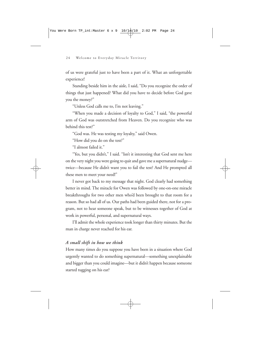of us were grateful just to have been a part of it. What an unforgettable experience!

Standing beside him in the aisle, I said, "Do you recognize the order of things that just happened? What did you have to decide before God gave you the money?"

"Unless God calls me to, I'm not leaving."

"When you made a decision of loyalty to God," I said, "the powerful arm of God was outstretched from Heaven. Do you recognize who was behind this test?"

"God was. He was testing my loyalty," said Owen.

"How did you do on the test?"

"I almost failed it."

"Yes, but you didn't," I said. "Isn't it interesting that God sent me here on the very night you were going to quit and gave me a supernatural nudge twice—because He didn't want you to fail the test? And He prompted all these men to meet your need!"

I never got back to my message that night. God clearly had something better in mind. The miracle for Owen was followed by one-on-one miracle breakthroughs for two other men who'd been brought to that room for a reason. But so had all of us. Our paths had been guided there, not for a program, not to hear someone speak, but to be witnesses together of God at work in powerful, personal, and supernatural ways.

I'll admit the whole experience took longer than thirty minutes. But the man in charge never reached for his ear.

#### *A small shift in how we think*

How many times do you suppose you have been in a situation where God urgently wanted to do something supernatural—something unexplainable and bigger than you could imagine—but it didn't happen because someone started tugging on his ear?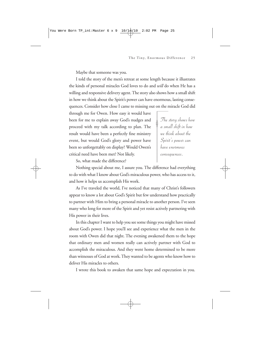Maybe that someone was you.

I told the story of the men's retreat at some length because it illustrates the kinds of personal miracles God loves to do and *will* do when He has a willing and responsive delivery agent. The story also shows how a small shift in how we think about the Spirit's power can have enormous, lasting consequences. Consider how close I came to missing out on the miracle God did

through me for Owen. How easy it would have been for me to explain away God's nudges and proceed with my talk according to plan. The result would have been a perfectly fine ministry event, but would God's glory and power have been so unforgettably on display? Would Owen's critical need have been met? Not likely.

The story shows how a small shift in how we think about the Spirit's power can have enormous consequences.

So, what made the difference?

Nothing special about me, I assure you. The difference had everything to do with what I know about God's miraculous power, who has access to it, and how it helps us accomplish His work.

As I've traveled the world, I've noticed that many of Christ's followers appear to know a lot about God's Spirit but few understand how practically to partner with Him to bring a personal miracle to another person. I've seen many who long for more of the Spirit and yet resist actively partnering with His power in their lives.

In this chapter I want to help you see some things you might have missed about God's power. I hope you'll see and experience what the men in the room with Owen did that night. The evening awakened them to the hope that ordinary men and women really can actively partner with God to accomplish the miraculous. And they went home determined to be more than witnesses of God at work. They wanted to be agents who know how to deliver His miracles to others.

I wrote this book to awaken that same hope and expectation in you.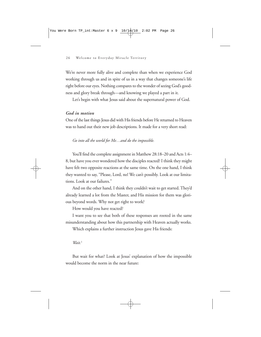We're never more fully alive and complete than when we experience God working through us and in spite of us in a way that changes someone's life right before our eyes. Nothing compares to the wonder of seeing God's goodness and glory break through—and knowing we played a part in it.

Let's begin with what Jesus said about the supernatural power of God.

#### *God in motion*

One of the last things Jesus did with His friends before He returned to Heaven was to hand out their new job descriptions. It made for a very short read:

#### *Go into all the world for Me…and do the impossible.*

You'll find the complete assignment in Matthew 28:18–20 and Acts 1:4– 8, but have you ever wondered how the disciples reacted? I think they might have felt two opposite reactions at the same time. On the one hand, I think they wanted to say, "Please, Lord, no! We can't possibly. Look at our limitations. Look at our failures."

And on the other hand, I think they couldn't wait to get started. They'd already learned a lot from the Master, and His mission for them was glorious beyond words. Why not get right to work?

How would you have reacted?

I want you to see that both of these responses are rooted in the same misunderstanding about how this partnership with Heaven actually works.

Which explains a further instruction Jesus gave His friends:

*Wait.*<sup>1</sup>

But wait for what? Look at Jesus' explanation of how the impossible would become the norm in the near future: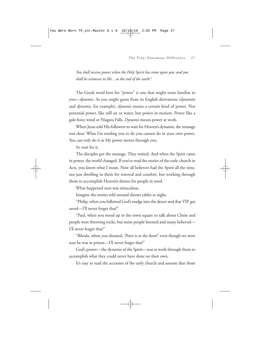*You shall receive power when the Holy Spirit has come upon you; and you shall be witnesses to Me…to the end of the earth.*<sup>2</sup>

The Greek word here for "power" is one that might seem familiar to you—*dynamis.* As you might guess from its English derivations (*dynamite* and *dynamic,* for example), *dynamis* means a certain kind of power. Not potential power, like still air or water, but power in motion. Power like a gale-force wind or Niagara Falls. *Dynamis* means power at work.

When Jesus told His followers to wait for Heaven's dynamis, the message was clear: What I'm sending you to do you cannot do in your own power. You can only do it as My power moves through you.

So wait for it.

The disciples got the message. They waited. And when the Spirit came in power, the world changed. If you've read the stories of the early church in Acts, you know what I mean. Now all believers had the Spirit all the time, not just dwelling in them for renewal and comfort, but working through them to accomplish Heaven's desires for people in need.

What happened next was miraculous.

Imagine the stories told around dinner tables at night.

"Philip, when you followed God's nudge into the desert and that VIP got saved—I'll never forget that!"

"Paul, when you stood up in the town square to talk about Christ and people were throwing rocks, but some people listened and many believed— I'll never forget that!"

"Rhoda, when you shouted, 'Peter is at the door!' even though we were sure he was in prison—I'll never forget that!"

God's power—the dynamis of the Spirit—was at work through them to accomplish what they could never have done on their own.

It's easy to read the accounts of the early church and assume that those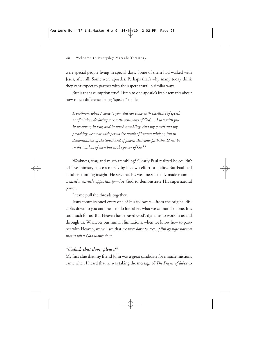were special people living in special days. Some of them had walked with Jesus, after all. Some were apostles. Perhaps that's why many today think they can't expect to partner with the supernatural in similar ways.

But is that assumption true? Listen to one apostle's frank remarks about how much difference being "special" made:

*I, brethren, when I came to you, did not come with excellence of speech or of wisdom declaring to you the testimony of God.… I was with you in weakness, in fear, and in much trembling. And my speech and my preaching were not with persuasive words of human wisdom, but in demonstration of the Spirit and of power, that your faith should not be in the wisdom of men but in the power of God.*<sup>3</sup>

Weakness, fear, and much trembling? Clearly Paul realized he couldn't achieve ministry success merely by his own effort or ability. But Paul had another stunning insight. He saw that his weakness actually made room *created a miracle opportunity*—for God to demonstrate His supernatural power.

Let me pull the threads together.

Jesus commissioned every one of His followers—from the original disciples down to you and me—to do for others what we cannot do alone. It is too much for us. But Heaven has released God's dynamis to work in us and through us. Whatever our human limitations, when we know how to partner with Heaven, we will see that *we were born to accomplish by supernatural means what God wants done.*

#### *"Unlock that door, please!"*

My first clue that my friend John was a great candidate for miracle missions came when I heard that he was taking the message of *The Prayer of Jabez* to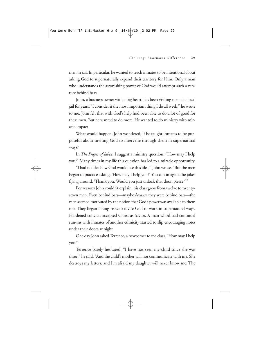men in jail. In particular, he wanted to teach inmates to be intentional about asking God to supernaturally expand their territory for Him. Only a man who understands the astonishing power of God would attempt such a venture behind bars.

John, a business owner with a big heart, has been visiting men at a local jail for years. "I consider it the most important thing I do all week," he wrote to me. John felt that with God's help he'd been able to do a lot of good for these men. But he wanted to do more. He wanted to do ministry with miracle impact.

What would happen, John wondered, if he taught inmates to be purposeful about inviting God to intervene through them in supernatural ways?

In *The Prayer of Jabez,* I suggest a ministry question: "How may I help you?" Many times in my life this question has led to a miracle opportunity.

"I had no idea how God would use this idea," John wrote. "But the men began to practice asking, 'How may I help you?' You can imagine the jokes flying around. 'Thank you. Would you just unlock that door, please?'"

For reasons John couldn't explain, his class grew from twelve to twentyseven men. Even behind bars—maybe *because* they were behind bars—the men seemed motivated by the notion that God's power was available to them too. They began taking risks to invite God to work in supernatural ways. Hardened convicts accepted Christ as Savior. A man who'd had continual run-ins with inmates of another ethnicity started to slip encouraging notes under their doors at night.

One day John asked Terrence, a newcomer to the class, "How may I help you?"

Terrence barely hesitated. "I have not seen my child since she was three," he said. "And the child's mother will not communicate with me. She destroys my letters, and I'm afraid my daughter will never know me. The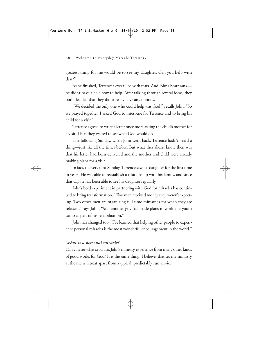greatest thing for me would be to see my daughter. Can you help with that?"

As he finished, Terrence's eyes filled with tears. And John's heart sank he didn't have a clue how to help. After talking through several ideas, they both decided that they didn't really have any options.

"We decided the only one who could help was God," recalls John. "So we prayed together. I asked God to intervene for Terrence and to bring his child for a visit."

Terrence agreed to write a letter once more asking the child's mother for a visit. Then they waited to see what God would do.

The following Sunday, when John went back, Terrence hadn't heard a thing—just like all the times before. But what they didn't know then was that his letter had been delivered and the mother and child were already making plans for a visit.

In fact, the very next Sunday, Terrence saw his daughter for the first time in years. He was able to reestablish a relationship with his family, and since that day he has been able to see his daughter regularly.

John's bold experiment in partnering with God for miracles has continued to bring transformation. "Two men received money they weren't expecting. Two other men are organizing full-time ministries for when they are released," says John. "And another guy has made plans to work at a youth camp as part of his rehabilitation."

John has changed too. "I've learned that helping other people to experience personal miracles is the most wonderful encouragement in the world."

#### *What is a personal miracle?*

Can you see what separates John's ministry experience from many other kinds of good works for God? It is the same thing, I believe, that set my ministry at the men's retreat apart from a typical, predictably run service.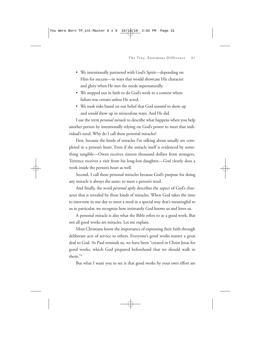- We intentionally partnered with God's Spirit—depending on Him for success—in ways that would showcase His character and glory when He met the needs supernaturally.
- We stepped out in faith to do God's work in a context where failure was certain unless He acted.
- We took risks based on our belief that God *wanted* to show up and *would* show up in miraculous ways. And He did.

I use the term *personal miracle* to describe what happens when you help another person by intentionally relying on God's power to meet that individual's need. Why do I call these personal miracles?

First, because the kinds of miracles I'm talking about usually are completed in a person's heart. Even if the miracle itself is evidenced by something tangible—Owen receives sixteen thousand dollars from strangers, Terrence receives a visit from his long-lost daughter—God clearly does a work inside the person's heart as well.

Second, I call these personal miracles because God's purpose for doing any miracle is always the same: to meet a person's need.

And finally, the word *personal* aptly describes the aspect of God's character that is revealed by these kinds of miracles. When God takes the time to intervene in our day to meet a need in a special way that's meaningful to us in particular, we recognize how intimately God knows us and loves us.

A personal miracle is also what the Bible refers to as a good work. But not all good works are miracles. Let me explain.

Most Christians know the importance of expressing their faith through deliberate acts of service to others. Everyone's good works matter a great deal to God. As Paul reminds us, we have been "created in Christ Jesus for good works, which God prepared beforehand that we should walk in them."4

But what I want you to see is that good works by your own effort are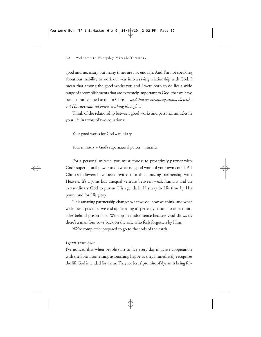good and necessary but many times are not enough. And I'm not speaking about our inability to work our way into a saving relationship with God. I mean that among the good works you and I were born to do lies a wide range of accomplishments that are extremely important to God, that we have been commissioned to do for Christ—*and that we absolutely cannot do without His supernatural power working through us.*

Think of the relationship between good works and personal miracles in your life in terms of two equations:

Your good works for God = ministry

Your ministry + God's supernatural power = miracles

For a personal miracle, you must choose to proactively partner with God's supernatural power to do what no good work of your own could. All Christ's followers have been invited into this amazing partnership with Heaven. It's a joint but unequal venture between weak humans and an extraordinary God to pursue His agenda in His way in His time by His power and for His glory.

This amazing partnership changes what we do, how we think, and what we know is possible. We end up deciding it's perfectly natural to expect miracles behind prison bars. We stop in midsentence because God shows us there's a man four rows back on the aisle who feels forgotten by Him.

We're completely prepared to go to the ends of the earth.

#### *Open your eyes*

I've noticed that when people start to live every day in active cooperation with the Spirit, something astonishing happens: they immediately recognize the life God intended for them. They see Jesus' promise of dynamis being ful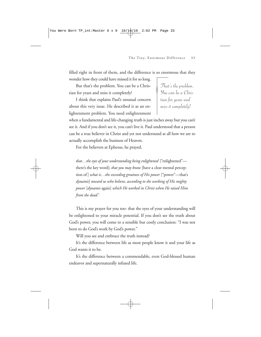filled right in front of them, and the difference is so enormous that they

wonder how they could have missed it for so long.

But that's the problem. You can be a Christian for years and miss it completely!

I think that explains Paul's unusual concern about this very issue. He described it as an enlightenment problem. You need enlightenment

That's the problem. You can be a Christian for years and miss it completely!

when a fundamental and life-changing truth is just inches away but you can't see it. And if you don't see it, you can't live it. Paul understood that a person can be a true believer in Christ and yet not understand at all how we are to actually accomplish the business of Heaven.

For the believers at Ephesus, he prayed,

*that…the eyes of your understanding being enlightened* ["enlightened" there's the key word]; *that you may know* [have a clear mental perception of ] *what is…the exceeding greatness of His power* ["power"—that's *dynamis*] *toward us who believe, according to the working of His mighty power* [*dynamis* again] *which He worked in Christ when He raised Him from the dead.*<sup>5</sup>

This is my prayer for you too: that the eyes of your understanding will be enlightened to your miracle potential. If you don't see the truth about God's power, you will come to a sensible but costly conclusion: "I was not born to do God's work by God's power."

Will you see and embrace the truth instead?

It's the difference between life as most people know it and your life as God wants it to be.

It's the difference between a commendable, even God-blessed human endeavor and supernaturally infused life.